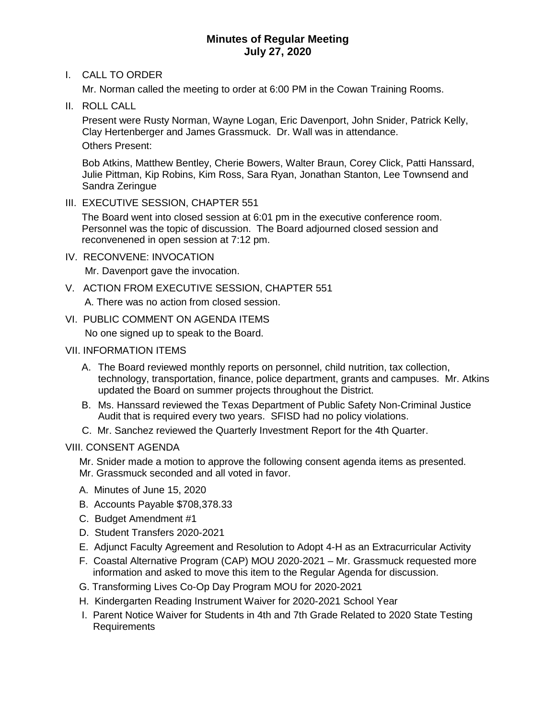# **Minutes of Regular Meeting July 27, 2020**

# I. CALL TO ORDER

Mr. Norman called the meeting to order at 6:00 PM in the Cowan Training Rooms.

II. ROLL CALL

 Present were Rusty Norman, Wayne Logan, Eric Davenport, John Snider, Patrick Kelly, Clay Hertenberger and James Grassmuck. Dr. Wall was in attendance. Others Present:

 Bob Atkins, Matthew Bentley, Cherie Bowers, Walter Braun, Corey Click, Patti Hanssard, Julie Pittman, Kip Robins, Kim Ross, Sara Ryan, Jonathan Stanton, Lee Townsend and Sandra Zeringue

III. EXECUTIVE SESSION, CHAPTER 551

The Board went into closed session at 6:01 pm in the executive conference room. Personnel was the topic of discussion. The Board adjourned closed session and reconvenened in open session at 7:12 pm.

## IV. RECONVENE: INVOCATION

Mr. Davenport gave the invocation.

V. ACTION FROM EXECUTIVE SESSION, CHAPTER 551

A. There was no action from closed session.

# VI. PUBLIC COMMENT ON AGENDA ITEMS

No one signed up to speak to the Board.

# VII. INFORMATION ITEMS

- A. The Board reviewed monthly reports on personnel, child nutrition, tax collection, technology, transportation, finance, police department, grants and campuses. Mr. Atkins updated the Board on summer projects throughout the District.
- B. Ms. Hanssard reviewed the Texas Department of Public Safety Non-Criminal Justice Audit that is required every two years. SFISD had no policy violations.
- C. Mr. Sanchez reviewed the Quarterly Investment Report for the 4th Quarter.

## VIII. CONSENT AGENDA

- Mr. Snider made a motion to approve the following consent agenda items as presented.
- Mr. Grassmuck seconded and all voted in favor.
- A. Minutes of June 15, 2020
- B. Accounts Payable \$708,378.33
- C. Budget Amendment #1
- D. Student Transfers 2020-2021
- E. Adjunct Faculty Agreement and Resolution to Adopt 4-H as an Extracurricular Activity
- F. Coastal Alternative Program (CAP) MOU 2020-2021 Mr. Grassmuck requested more information and asked to move this item to the Regular Agenda for discussion.
- G. Transforming Lives Co-Op Day Program MOU for 2020-2021
- H. Kindergarten Reading Instrument Waiver for 2020-2021 School Year
- I. Parent Notice Waiver for Students in 4th and 7th Grade Related to 2020 State Testing Requirements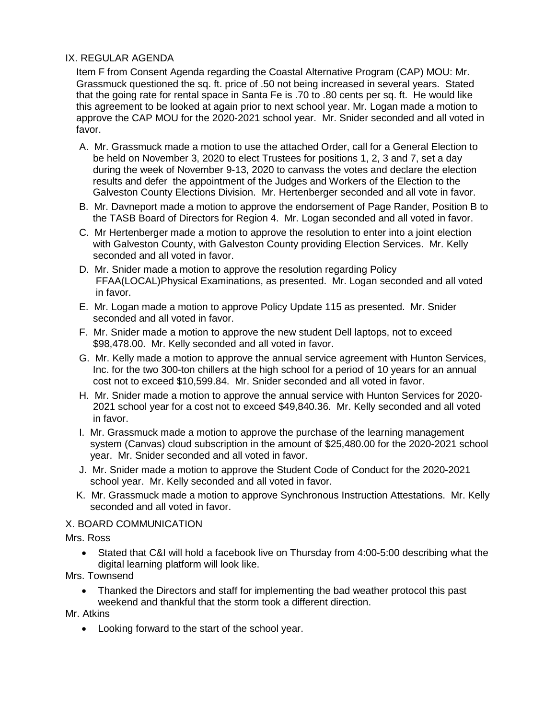# IX. REGULAR AGENDA

Item F from Consent Agenda regarding the Coastal Alternative Program (CAP) MOU: Mr. Grassmuck questioned the sq. ft. price of .50 not being increased in several years. Stated that the going rate for rental space in Santa Fe is .70 to .80 cents per sq. ft. He would like this agreement to be looked at again prior to next school year. Mr. Logan made a motion to approve the CAP MOU for the 2020-2021 school year. Mr. Snider seconded and all voted in favor.

- A. Mr. Grassmuck made a motion to use the attached Order, call for a General Election to be held on November 3, 2020 to elect Trustees for positions 1, 2, 3 and 7, set a day during the week of November 9-13, 2020 to canvass the votes and declare the election results and defer the appointment of the Judges and Workers of the Election to the Galveston County Elections Division. Mr. Hertenberger seconded and all vote in favor.
- B. Mr. Davneport made a motion to approve the endorsement of Page Rander, Position B to the TASB Board of Directors for Region 4. Mr. Logan seconded and all voted in favor.
- C. Mr Hertenberger made a motion to approve the resolution to enter into a joint election with Galveston County, with Galveston County providing Election Services. Mr. Kelly seconded and all voted in favor.
- D. Mr. Snider made a motion to approve the resolution regarding Policy FFAA(LOCAL)Physical Examinations, as presented. Mr. Logan seconded and all voted in favor.
- E. Mr. Logan made a motion to approve Policy Update 115 as presented. Mr. Snider seconded and all voted in favor.
- F. Mr. Snider made a motion to approve the new student Dell laptops, not to exceed \$98,478.00. Mr. Kelly seconded and all voted in favor.
- G. Mr. Kelly made a motion to approve the annual service agreement with Hunton Services, Inc. for the two 300-ton chillers at the high school for a period of 10 years for an annual cost not to exceed \$10,599.84. Mr. Snider seconded and all voted in favor.
- H. Mr. Snider made a motion to approve the annual service with Hunton Services for 2020- 2021 school year for a cost not to exceed \$49,840.36. Mr. Kelly seconded and all voted in favor.
- I. Mr. Grassmuck made a motion to approve the purchase of the learning management system (Canvas) cloud subscription in the amount of \$25,480.00 for the 2020-2021 school year. Mr. Snider seconded and all voted in favor.
- J. Mr. Snider made a motion to approve the Student Code of Conduct for the 2020-2021 school year. Mr. Kelly seconded and all voted in favor.
- K. Mr. Grassmuck made a motion to approve Synchronous Instruction Attestations. Mr. Kelly seconded and all voted in favor.

## X. BOARD COMMUNICATION

Mrs. Ross

- Stated that C&I will hold a facebook live on Thursday from 4:00-5:00 describing what the digital learning platform will look like.
- Mrs. Townsend
	- Thanked the Directors and staff for implementing the bad weather protocol this past weekend and thankful that the storm took a different direction.

Mr. Atkins

• Looking forward to the start of the school year.